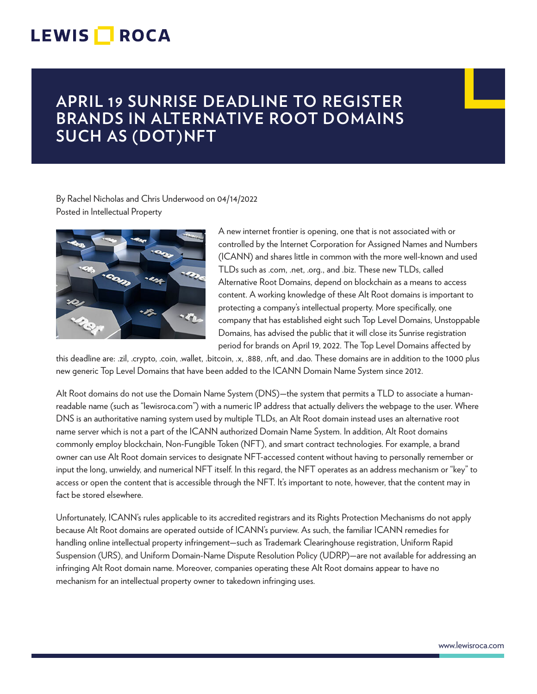## LEWIS **NOCA**

## **APRIL 19 SUNRISE DEADLINE TO REGISTER BRANDS IN ALTERNATIVE ROOT DOMAINS SUCH AS (DOT)NFT**

By Rachel Nicholas and Chris Underwood on 04/14/2022 Posted in Intellectual Property



A new internet frontier is opening, one that is not associated with or controlled by the Internet Corporation for Assigned Names and Numbers (ICANN) and shares little in common with the more well-known and used TLDs such as .com, .net, .org., and .biz. These new TLDs, called Alternative Root Domains, depend on blockchain as a means to access content. A working knowledge of these Alt Root domains is important to protecting a company's intellectual property. More specifically, one company that has established eight such Top Level Domains, Unstoppable Domains, has advised the public that it will close its Sunrise registration period for brands on April 19, 2022. The Top Level Domains affected by

this deadline are: .zil, .crypto, .coin, .wallet, .bitcoin, .x, .888, .nft, and .dao. These domains are in addition to the 1000 plus new generic Top Level Domains that have been added to the ICANN Domain Name System since 2012.

Alt Root domains do not use the Domain Name System (DNS)—the system that permits a TLD to associate a humanreadable name (such as "lewisroca.com") with a numeric IP address that actually delivers the webpage to the user. Where DNS is an authoritative naming system used by multiple TLDs, an Alt Root domain instead uses an alternative root name server which is not a part of the ICANN authorized Domain Name System. In addition, Alt Root domains commonly employ blockchain, Non-Fungible Token (NFT), and smart contract technologies. For example, a brand owner can use Alt Root domain services to designate NFT-accessed content without having to personally remember or input the long, unwieldy, and numerical NFT itself. In this regard, the NFT operates as an address mechanism or "key" to access or open the content that is accessible through the NFT. It's important to note, however, that the content may in fact be stored elsewhere.

Unfortunately, ICANN's rules applicable to its accredited registrars and its Rights Protection Mechanisms do not apply because Alt Root domains are operated outside of ICANN's purview. As such, the familiar ICANN remedies for handling online intellectual property infringement—such as Trademark Clearinghouse registration, Uniform Rapid Suspension (URS), and Uniform Domain-Name Dispute Resolution Policy (UDRP)—are not available for addressing an infringing Alt Root domain name. Moreover, companies operating these Alt Root domains appear to have no mechanism for an intellectual property owner to takedown infringing uses.